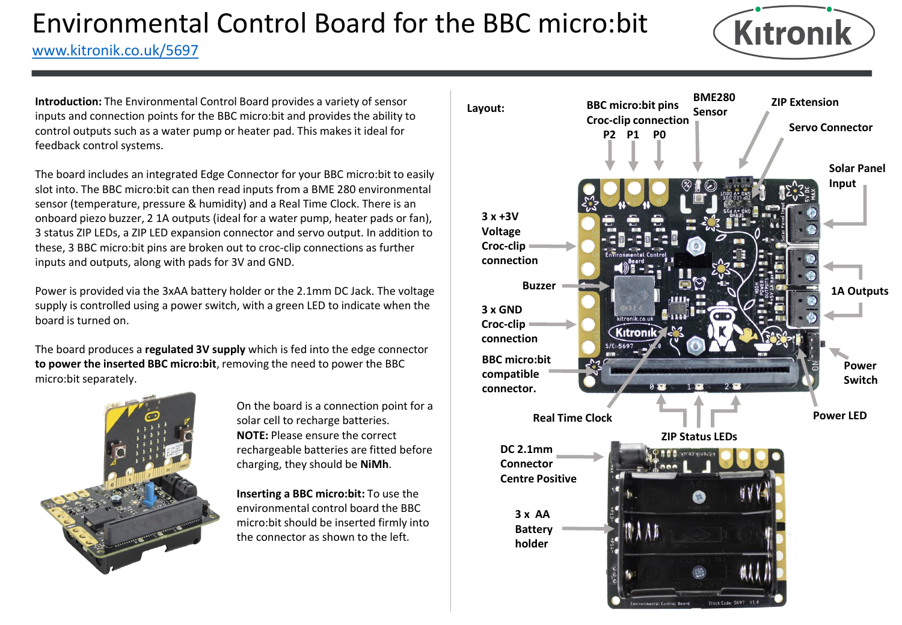

[www.kitronik.co.uk/5697](http://www.kitronik.co.uk/5698)

**Introduction:** The Environmental Control Board provides a variety of sensor inputs and connection points for the BBC micro:bit and provides the ability to control outputs such as a water pump or heater pad. This makes it ideal for feedback control systems.

The board includes an integrated Edge Connector for your BBC micro:bit to easily slot into. The BBC micro:bit can then read inputs from a BME 280 environmental sensor (temperature, pressure & humidity) and a Real Time Clock. There is an onboard piezo buzzer, 2 1A outputs (ideal for a water pump, heater pads or fan), 3 status ZIP LEDs, a ZIP LED expansion connector and servo output. In addition to these, 3 BBC micro:bit pins are broken out to croc-clip connections as further inputs and outputs, along with pads for 3V and GND.

Power is provided via the 3xAA battery holder or the 2.1mm DC Jack. The voltage supply is controlled using a power switch, with a green LED to indicate when the board is turned on.

The board produces a **regulated 3V supply** which is fed into the edge connector **to power the inserted BBC micro:bit**, removing the need to power the BBC micro:bit separately.



On the board is a connection point for a solar cell to recharge batteries. **NOTE:** Please ensure the correct rechargeable batteries are fitted before charging, they should be **NiMh**.

**Inserting a BBC micro:bit:** To use the environmental control board the BBC micro:bit should be inserted firmly into the connector as shown to the left.

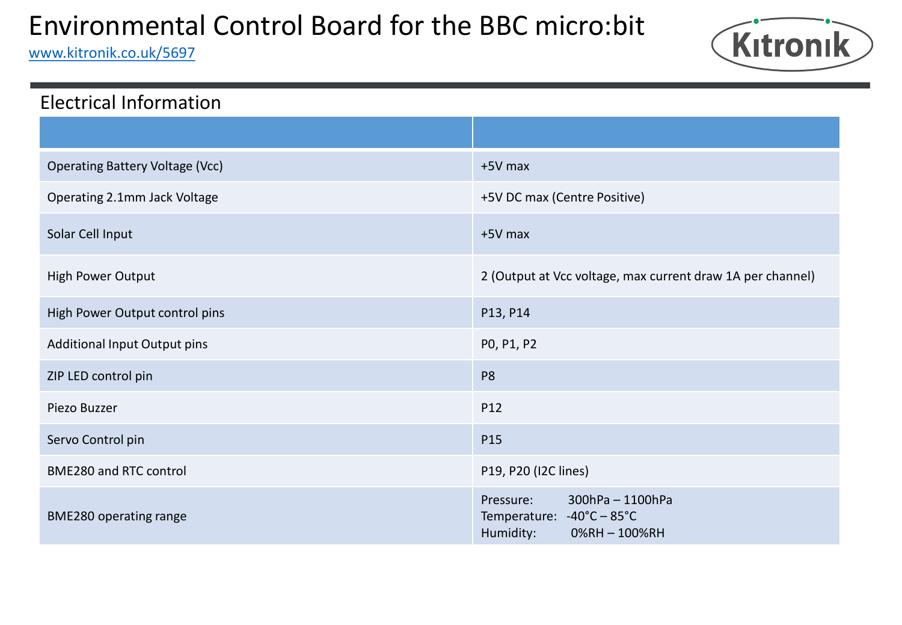[www.kitronik.co.uk/5697](http://www.kitronik.co.uk/5698)



| <b>Electrical Information</b>          |                                                                                        |
|----------------------------------------|----------------------------------------------------------------------------------------|
|                                        |                                                                                        |
| <b>Operating Battery Voltage (Vcc)</b> | +5V max                                                                                |
| Operating 2.1mm Jack Voltage           | +5V DC max (Centre Positive)                                                           |
| Solar Cell Input                       | +5V max                                                                                |
| High Power Output                      | 2 (Output at Vcc voltage, max current draw 1A per channel)                             |
| High Power Output control pins         | P13, P14                                                                               |
| <b>Additional Input Output pins</b>    | PO, P1, P2                                                                             |
| ZIP LED control pin                    | P <sub>8</sub>                                                                         |
| Piezo Buzzer                           | P12                                                                                    |
| Servo Control pin                      | P15                                                                                    |
| <b>BME280 and RTC control</b>          | P19, P20 (I2C lines)                                                                   |
| BME280 operating range                 | 300hPa - 1100hPa<br>Pressure:<br>Temperature: -40°C - 85°C<br>Humidity:<br>0%RH-100%RH |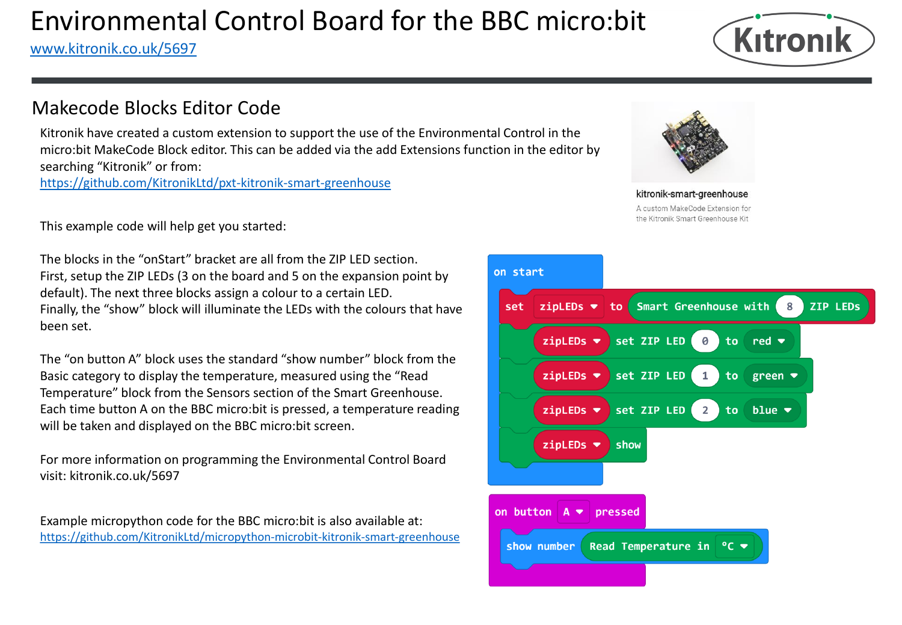#### [www.kitronik.co.uk/5697](http://www.kitronik.co.uk/5698)



### Makecode Blocks Editor Code

Kitronik have created a custom extension to support the use of the Environmental Control in the micro:bit MakeCode Block editor. This can be added via the add Extensions function in the editor by searching "Kitronik" or from:

<https://github.com/KitronikLtd/pxt-kitronik-smart-greenhouse>

This example code will help get you started:

The blocks in the "onStart" bracket are all from the ZIP LED section. First, setup the ZIP LEDs (3 on the board and 5 on the expansion point by default). The next three blocks assign a colour to a certain LED. Finally, the "show" block will illuminate the LEDs with the colours that have been set.

The "on button A" block uses the standard "show number" block from the Basic category to display the temperature, measured using the "Read Temperature" block from the Sensors section of the Smart Greenhouse. Each time button A on the BBC micro:bit is pressed, a temperature reading will be taken and displayed on the BBC micro:bit screen.

For more information on programming the Environmental Control Board visit: kitronik.co.uk/5697

Example micropython code for the BBC micro:bit is also available at: <https://github.com/KitronikLtd/micropython-microbit-kitronik-smart-greenhouse>



kitronik-smart-greenhouse A custom MakeCode Extension for the Kitronik Smart Greenhouse Kit